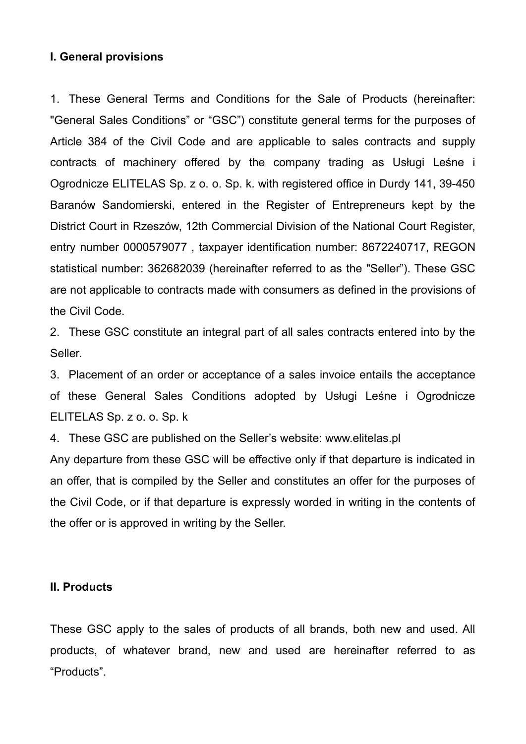### **I. General provisions**

1. These General Terms and Conditions for the Sale of Products (hereinafter: "General Sales Conditions" or "GSC") constitute general terms for the purposes of Article 384 of the Civil Code and are applicable to sales contracts and supply contracts of machinery offered by the company trading as Usługi Leśne i Ogrodnicze ELITELAS Sp. z o. o. Sp. k. with registered office in Durdy 141, 39-450 Baranów Sandomierski, entered in the Register of Entrepreneurs kept by the District Court in Rzeszów, 12th Commercial Division of the National Court Register, entry number 0000579077 , taxpayer identification number: 8672240717, REGON statistical number: 362682039 (hereinafter referred to as the "Seller"). These GSC are not applicable to contracts made with consumers as defined in the provisions of the Civil Code.

2. These GSC constitute an integral part of all sales contracts entered into by the Seller.

3. Placement of an order or acceptance of a sales invoice entails the acceptance of these General Sales Conditions adopted by Usługi Leśne i Ogrodnicze ELITELAS Sp. z o. o. Sp. k

4. These GSC are published on the Seller's website: www.elitelas.pl

Any departure from these GSC will be effective only if that departure is indicated in an offer, that is compiled by the Seller and constitutes an offer for the purposes of the Civil Code, or if that departure is expressly worded in writing in the contents of the offer or is approved in writing by the Seller.

#### **II. Products**

These GSC apply to the sales of products of all brands, both new and used. All products, of whatever brand, new and used are hereinafter referred to as "Products".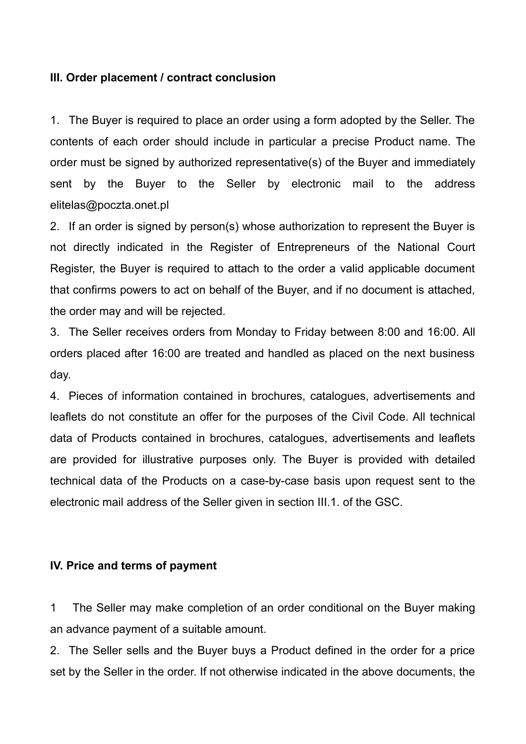### **III. Order placement / contract conclusion**

1. The Buyer is required to place an order using a form adopted by the Seller. The contents of each order should include in particular a precise Product name. The order must be signed by authorized representative(s) of the Buyer and immediately sent by the Buyer to the Seller by electronic mail to the address elitelas@poczta.onet.pl

2. If an order is signed by person(s) whose authorization to represent the Buyer is not directly indicated in the Register of Entrepreneurs of the National Court Register, the Buyer is required to attach to the order a valid applicable document that confirms powers to act on behalf of the Buyer, and if no document is attached, the order may and will be rejected.

3. The Seller receives orders from Monday to Friday between 8:00 and 16:00. All orders placed after 16:00 are treated and handled as placed on the next business day.

4. Pieces of information contained in brochures, catalogues, advertisements and leaflets do not constitute an offer for the purposes of the Civil Code. All technical data of Products contained in brochures, catalogues, advertisements and leaflets are provided for illustrative purposes only. The Buyer is provided with detailed technical data of the Products on a case-by-case basis upon request sent to the electronic mail address of the Seller given in section III.1. of the GSC.

## **IV. Price and terms of payment**

1 The Seller may make completion of an order conditional on the Buyer making an advance payment of a suitable amount.

2. The Seller sells and the Buyer buys a Product defined in the order for a price set by the Seller in the order. If not otherwise indicated in the above documents, the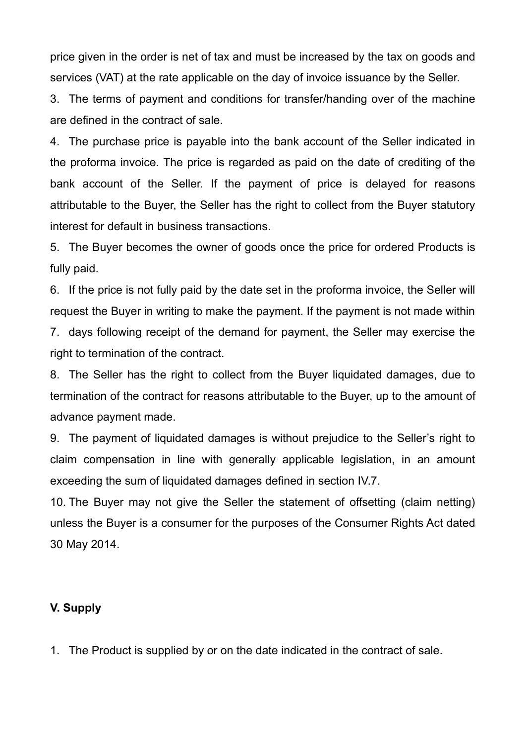price given in the order is net of tax and must be increased by the tax on goods and services (VAT) at the rate applicable on the day of invoice issuance by the Seller.

3. The terms of payment and conditions for transfer/handing over of the machine are defined in the contract of sale.

4. The purchase price is payable into the bank account of the Seller indicated in the proforma invoice. The price is regarded as paid on the date of crediting of the bank account of the Seller. If the payment of price is delayed for reasons attributable to the Buyer, the Seller has the right to collect from the Buyer statutory interest for default in business transactions.

5. The Buyer becomes the owner of goods once the price for ordered Products is fully paid.

6. If the price is not fully paid by the date set in the proforma invoice, the Seller will request the Buyer in writing to make the payment. If the payment is not made within

7. days following receipt of the demand for payment, the Seller may exercise the right to termination of the contract.

8. The Seller has the right to collect from the Buyer liquidated damages, due to termination of the contract for reasons attributable to the Buyer, up to the amount of advance payment made.

9. The payment of liquidated damages is without prejudice to the Seller's right to claim compensation in line with generally applicable legislation, in an amount exceeding the sum of liquidated damages defined in section IV.7.

10. The Buyer may not give the Seller the statement of offsetting (claim netting) unless the Buyer is a consumer for the purposes of the Consumer Rights Act dated 30 May 2014.

# **V. Supply**

1. The Product is supplied by or on the date indicated in the contract of sale.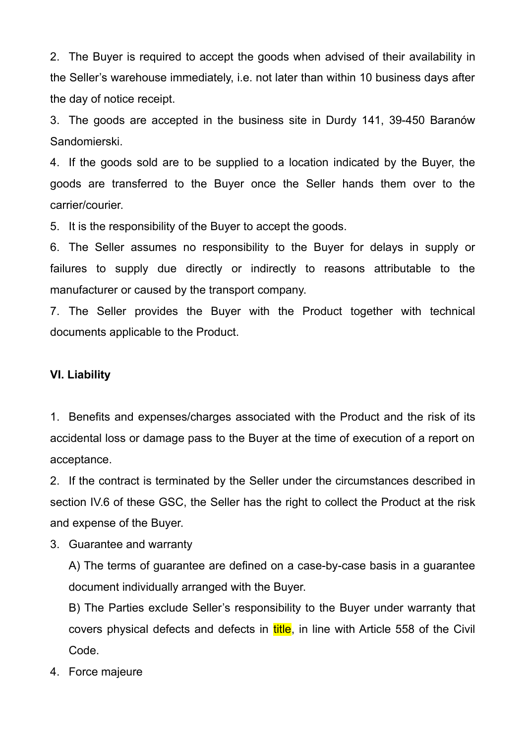2. The Buyer is required to accept the goods when advised of their availability in the Seller's warehouse immediately, i.e. not later than within 10 business days after the day of notice receipt.

3. The goods are accepted in the business site in Durdy 141, 39-450 Baranów Sandomierski.

4. If the goods sold are to be supplied to a location indicated by the Buyer, the goods are transferred to the Buyer once the Seller hands them over to the carrier/courier.

5. It is the responsibility of the Buyer to accept the goods.

6. The Seller assumes no responsibility to the Buyer for delays in supply or failures to supply due directly or indirectly to reasons attributable to the manufacturer or caused by the transport company.

7. The Seller provides the Buyer with the Product together with technical documents applicable to the Product.

#### **VI. Liability**

1. Benefits and expenses/charges associated with the Product and the risk of its accidental loss or damage pass to the Buyer at the time of execution of a report on acceptance.

2. If the contract is terminated by the Seller under the circumstances described in section IV.6 of these GSC, the Seller has the right to collect the Product at the risk and expense of the Buyer.

3. Guarantee and warranty

A) The terms of guarantee are defined on a case-by-case basis in a guarantee document individually arranged with the Buyer.

B) The Parties exclude Seller's responsibility to the Buyer under warranty that covers physical defects and defects in title, in line with Article 558 of the Civil Code.

4. Force majeure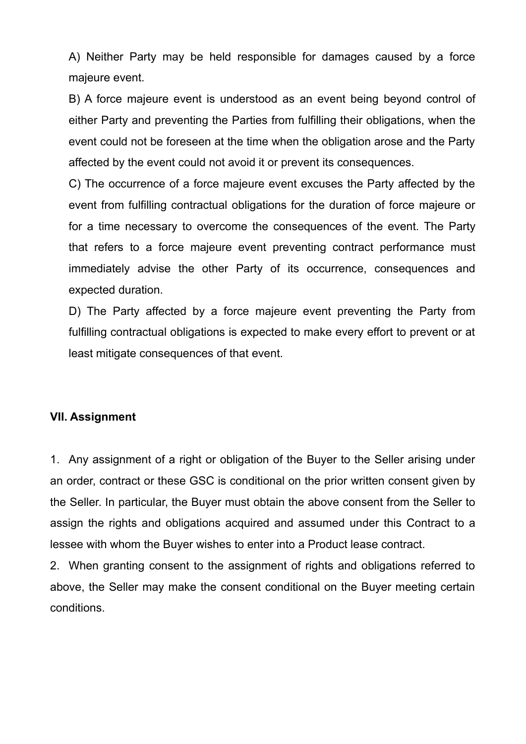A) Neither Party may be held responsible for damages caused by a force majeure event.

B) A force majeure event is understood as an event being beyond control of either Party and preventing the Parties from fulfilling their obligations, when the event could not be foreseen at the time when the obligation arose and the Party affected by the event could not avoid it or prevent its consequences.

C) The occurrence of a force majeure event excuses the Party affected by the event from fulfilling contractual obligations for the duration of force majeure or for a time necessary to overcome the consequences of the event. The Party that refers to a force majeure event preventing contract performance must immediately advise the other Party of its occurrence, consequences and expected duration.

D) The Party affected by a force majeure event preventing the Party from fulfilling contractual obligations is expected to make every effort to prevent or at least mitigate consequences of that event.

## **VII. Assignment**

1. Any assignment of a right or obligation of the Buyer to the Seller arising under an order, contract or these GSC is conditional on the prior written consent given by the Seller. In particular, the Buyer must obtain the above consent from the Seller to assign the rights and obligations acquired and assumed under this Contract to a lessee with whom the Buyer wishes to enter into a Product lease contract.

2. When granting consent to the assignment of rights and obligations referred to above, the Seller may make the consent conditional on the Buyer meeting certain conditions.